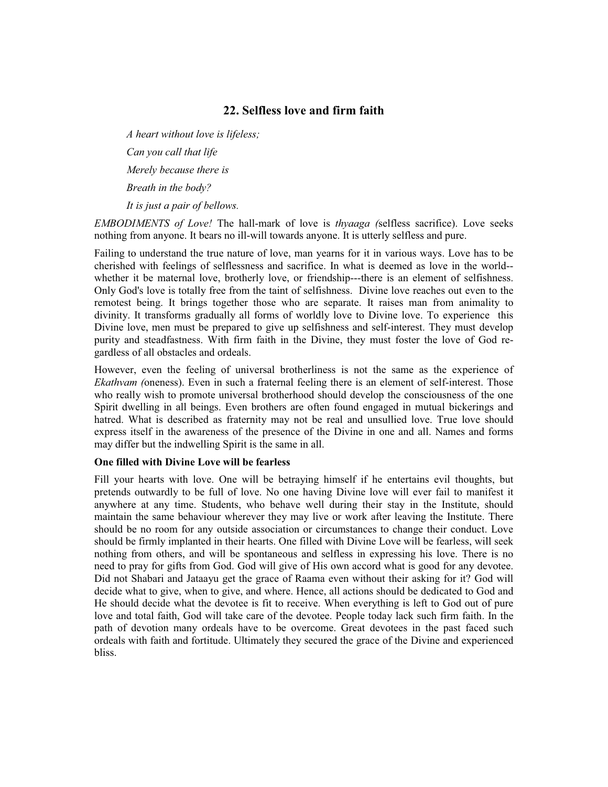## **22. Selfless love and firm faith**

*A heart without love is lifeless; Can you call that life Merely because there is Breath in the body? It is just a pair of bellows.*

*EMBODIMENTS of Love!* The hall-mark of love is *thyaaga (*selfless sacrifice). Love seeks nothing from anyone. It bears no ill-will towards anyone. It is utterly selfless and pure.

Failing to understand the true nature of love, man yearns for it in various ways. Love has to be cherished with feelings of selflessness and sacrifice. In what is deemed as love in the world- whether it be maternal love, brotherly love, or friendship---there is an element of selfishness. Only God's love is totally free from the taint of selfishness. Divine love reaches out even to the remotest being. It brings together those who are separate. It raises man from animality to divinity. It transforms gradually all forms of worldly love to Divine love. To experience this Divine love, men must be prepared to give up selfishness and self-interest. They must develop purity and steadfastness. With firm faith in the Divine, they must foster the love of God regardless of all obstacles and ordeals.

However, even the feeling of universal brotherliness is not the same as the experience of *Ekathvam (*oneness). Even in such a fraternal feeling there is an element of self-interest. Those who really wish to promote universal brotherhood should develop the consciousness of the one Spirit dwelling in all beings. Even brothers are often found engaged in mutual bickerings and hatred. What is described as fraternity may not be real and unsullied love. True love should express itself in the awareness of the presence of the Divine in one and all. Names and forms may differ but the indwelling Spirit is the same in all.

## **One filled with Divine Love will be fearless**

Fill your hearts with love. One will be betraying himself if he entertains evil thoughts, but pretends outwardly to be full of love. No one having Divine love will ever fail to manifest it anywhere at any time. Students, who behave well during their stay in the Institute, should maintain the same behaviour wherever they may live or work after leaving the Institute. There should be no room for any outside association or circumstances to change their conduct. Love should be firmly implanted in their hearts. One filled with Divine Love will be fearless, will seek nothing from others, and will be spontaneous and selfless in expressing his love. There is no need to pray for gifts from God. God will give of His own accord what is good for any devotee. Did not Shabari and Jataayu get the grace of Raama even without their asking for it? God will decide what to give, when to give, and where. Hence, all actions should be dedicated to God and He should decide what the devotee is fit to receive. When everything is left to God out of pure love and total faith, God will take care of the devotee. People today lack such firm faith. In the path of devotion many ordeals have to be overcome. Great devotees in the past faced such ordeals with faith and fortitude. Ultimately they secured the grace of the Divine and experienced bliss.